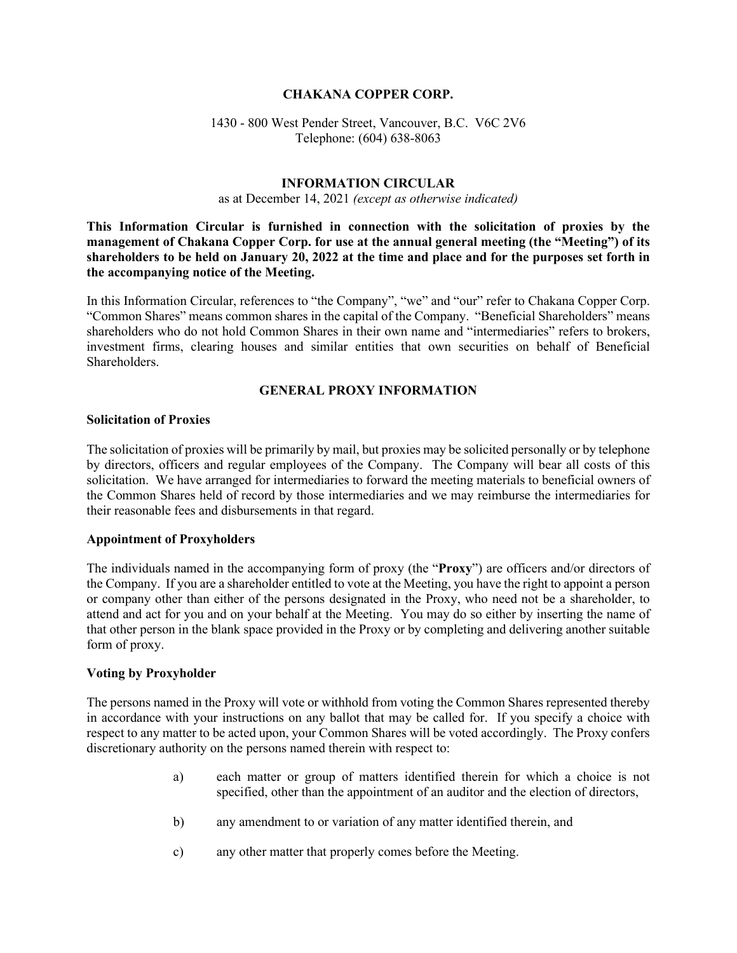### **CHAKANA COPPER CORP.**

## 1430 - 800 West Pender Street, Vancouver, B.C. V6C 2V6 Telephone: (604) 638-8063

### **INFORMATION CIRCULAR**

as at December 14, 2021 *(except as otherwise indicated)*

**This Information Circular is furnished in connection with the solicitation of proxies by the management of Chakana Copper Corp. for use at the annual general meeting (the "Meeting") of its shareholders to be held on January 20, 2022 at the time and place and for the purposes set forth in the accompanying notice of the Meeting.** 

In this Information Circular, references to "the Company", "we" and "our" refer to Chakana Copper Corp. "Common Shares" means common shares in the capital of the Company. "Beneficial Shareholders" means shareholders who do not hold Common Shares in their own name and "intermediaries" refers to brokers, investment firms, clearing houses and similar entities that own securities on behalf of Beneficial Shareholders.

## **GENERAL PROXY INFORMATION**

### **Solicitation of Proxies**

The solicitation of proxies will be primarily by mail, but proxies may be solicited personally or by telephone by directors, officers and regular employees of the Company. The Company will bear all costs of this solicitation. We have arranged for intermediaries to forward the meeting materials to beneficial owners of the Common Shares held of record by those intermediaries and we may reimburse the intermediaries for their reasonable fees and disbursements in that regard.

### **Appointment of Proxyholders**

The individuals named in the accompanying form of proxy (the "**Proxy**") are officers and/or directors of the Company. If you are a shareholder entitled to vote at the Meeting, you have the right to appoint a person or company other than either of the persons designated in the Proxy, who need not be a shareholder, to attend and act for you and on your behalf at the Meeting. You may do so either by inserting the name of that other person in the blank space provided in the Proxy or by completing and delivering another suitable form of proxy.

### **Voting by Proxyholder**

The persons named in the Proxy will vote or withhold from voting the Common Shares represented thereby in accordance with your instructions on any ballot that may be called for. If you specify a choice with respect to any matter to be acted upon, your Common Shares will be voted accordingly. The Proxy confers discretionary authority on the persons named therein with respect to:

- a) each matter or group of matters identified therein for which a choice is not specified, other than the appointment of an auditor and the election of directors,
- b) any amendment to or variation of any matter identified therein, and
- c) any other matter that properly comes before the Meeting.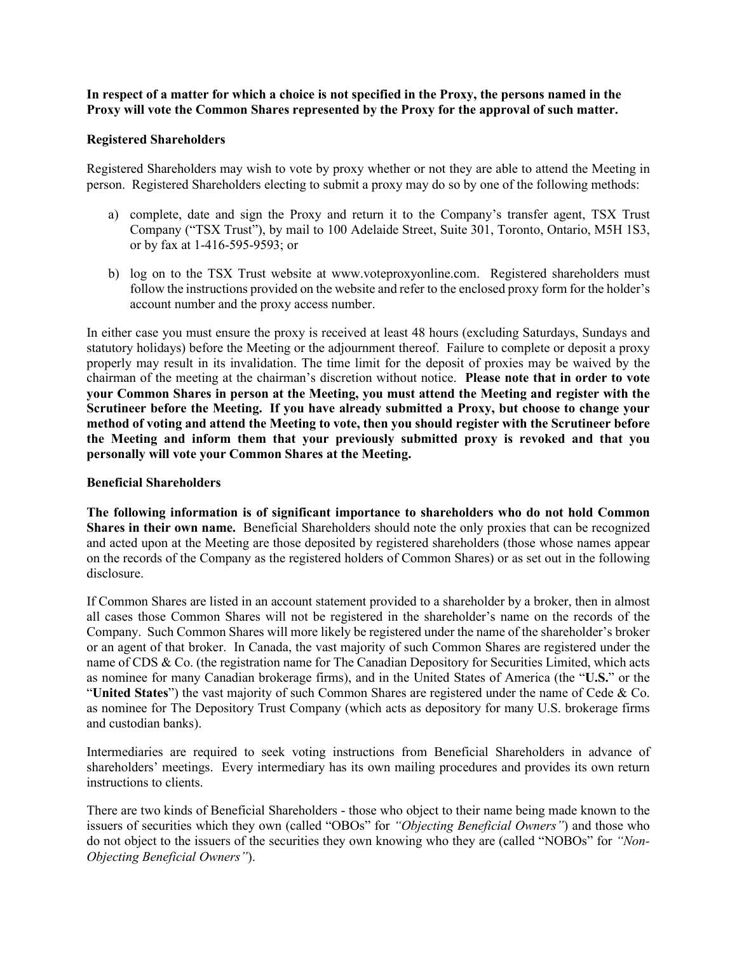**In respect of a matter for which a choice is not specified in the Proxy, the persons named in the Proxy will vote the Common Shares represented by the Proxy for the approval of such matter.**

#### **Registered Shareholders**

Registered Shareholders may wish to vote by proxy whether or not they are able to attend the Meeting in person. Registered Shareholders electing to submit a proxy may do so by one of the following methods:

- a) complete, date and sign the Proxy and return it to the Company's transfer agent, TSX Trust Company ("TSX Trust"), by mail to 100 Adelaide Street, Suite 301, Toronto, Ontario, M5H 1S3, or by fax at 1-416-595-9593; or
- b) log on to the TSX Trust website at www.voteproxyonline.com. Registered shareholders must follow the instructions provided on the website and refer to the enclosed proxy form for the holder's account number and the proxy access number.

In either case you must ensure the proxy is received at least 48 hours (excluding Saturdays, Sundays and statutory holidays) before the Meeting or the adjournment thereof. Failure to complete or deposit a proxy properly may result in its invalidation. The time limit for the deposit of proxies may be waived by the chairman of the meeting at the chairman's discretion without notice. **Please note that in order to vote your Common Shares in person at the Meeting, you must attend the Meeting and register with the Scrutineer before the Meeting. If you have already submitted a Proxy, but choose to change your method of voting and attend the Meeting to vote, then you should register with the Scrutineer before the Meeting and inform them that your previously submitted proxy is revoked and that you personally will vote your Common Shares at the Meeting.**

### **Beneficial Shareholders**

**The following information is of significant importance to shareholders who do not hold Common Shares in their own name.** Beneficial Shareholders should note the only proxies that can be recognized and acted upon at the Meeting are those deposited by registered shareholders (those whose names appear on the records of the Company as the registered holders of Common Shares) or as set out in the following disclosure.

If Common Shares are listed in an account statement provided to a shareholder by a broker, then in almost all cases those Common Shares will not be registered in the shareholder's name on the records of the Company. Such Common Shares will more likely be registered under the name of the shareholder's broker or an agent of that broker. In Canada, the vast majority of such Common Shares are registered under the name of CDS & Co. (the registration name for The Canadian Depository for Securities Limited, which acts as nominee for many Canadian brokerage firms), and in the United States of America (the "**U.S.**" or the "**United States**") the vast majority of such Common Shares are registered under the name of Cede & Co. as nominee for The Depository Trust Company (which acts as depository for many U.S. brokerage firms and custodian banks).

Intermediaries are required to seek voting instructions from Beneficial Shareholders in advance of shareholders' meetings. Every intermediary has its own mailing procedures and provides its own return instructions to clients.

There are two kinds of Beneficial Shareholders - those who object to their name being made known to the issuers of securities which they own (called "OBOs" for *"Objecting Beneficial Owners"*) and those who do not object to the issuers of the securities they own knowing who they are (called "NOBOs" for *"Non-Objecting Beneficial Owners"*).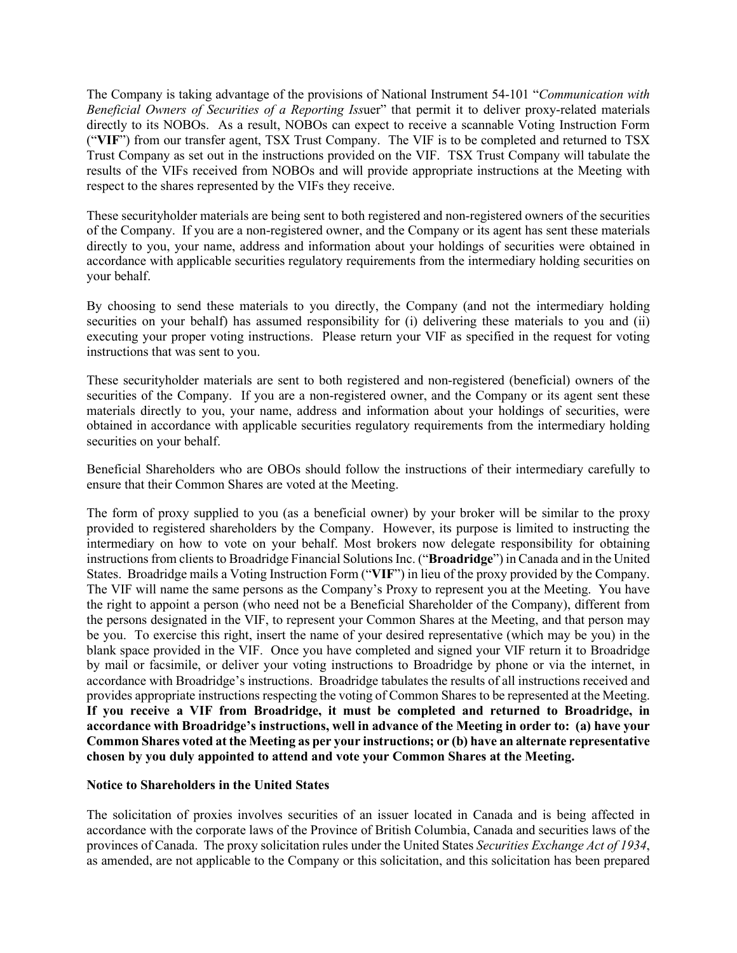The Company is taking advantage of the provisions of National Instrument 54-101 "*Communication with Beneficial Owners of Securities of a Reporting Iss*uer" that permit it to deliver proxy-related materials directly to its NOBOs. As a result, NOBOs can expect to receive a scannable Voting Instruction Form ("**VIF**") from our transfer agent, TSX Trust Company. The VIF is to be completed and returned to TSX Trust Company as set out in the instructions provided on the VIF. TSX Trust Company will tabulate the results of the VIFs received from NOBOs and will provide appropriate instructions at the Meeting with respect to the shares represented by the VIFs they receive.

These securityholder materials are being sent to both registered and non-registered owners of the securities of the Company. If you are a non-registered owner, and the Company or its agent has sent these materials directly to you, your name, address and information about your holdings of securities were obtained in accordance with applicable securities regulatory requirements from the intermediary holding securities on your behalf.

By choosing to send these materials to you directly, the Company (and not the intermediary holding securities on your behalf) has assumed responsibility for (i) delivering these materials to you and (ii) executing your proper voting instructions. Please return your VIF as specified in the request for voting instructions that was sent to you.

These securityholder materials are sent to both registered and non-registered (beneficial) owners of the securities of the Company. If you are a non-registered owner, and the Company or its agent sent these materials directly to you, your name, address and information about your holdings of securities, were obtained in accordance with applicable securities regulatory requirements from the intermediary holding securities on your behalf.

Beneficial Shareholders who are OBOs should follow the instructions of their intermediary carefully to ensure that their Common Shares are voted at the Meeting.

The form of proxy supplied to you (as a beneficial owner) by your broker will be similar to the proxy provided to registered shareholders by the Company. However, its purpose is limited to instructing the intermediary on how to vote on your behalf. Most brokers now delegate responsibility for obtaining instructions from clients to Broadridge Financial Solutions Inc. ("**Broadridge**") in Canada and in the United States. Broadridge mails a Voting Instruction Form ("**VIF**") in lieu of the proxy provided by the Company. The VIF will name the same persons as the Company's Proxy to represent you at the Meeting. You have the right to appoint a person (who need not be a Beneficial Shareholder of the Company), different from the persons designated in the VIF, to represent your Common Shares at the Meeting, and that person may be you. To exercise this right, insert the name of your desired representative (which may be you) in the blank space provided in the VIF. Once you have completed and signed your VIF return it to Broadridge by mail or facsimile, or deliver your voting instructions to Broadridge by phone or via the internet, in accordance with Broadridge's instructions. Broadridge tabulates the results of all instructions received and provides appropriate instructions respecting the voting of Common Shares to be represented at the Meeting. **If you receive a VIF from Broadridge, it must be completed and returned to Broadridge, in accordance with Broadridge's instructions, well in advance of the Meeting in order to: (a) have your Common Shares voted at the Meeting as per your instructions; or (b) have an alternate representative chosen by you duly appointed to attend and vote your Common Shares at the Meeting.**

## **Notice to Shareholders in the United States**

The solicitation of proxies involves securities of an issuer located in Canada and is being affected in accordance with the corporate laws of the Province of British Columbia, Canada and securities laws of the provinces of Canada. The proxy solicitation rules under the United States *Securities Exchange Act of 1934*, as amended, are not applicable to the Company or this solicitation, and this solicitation has been prepared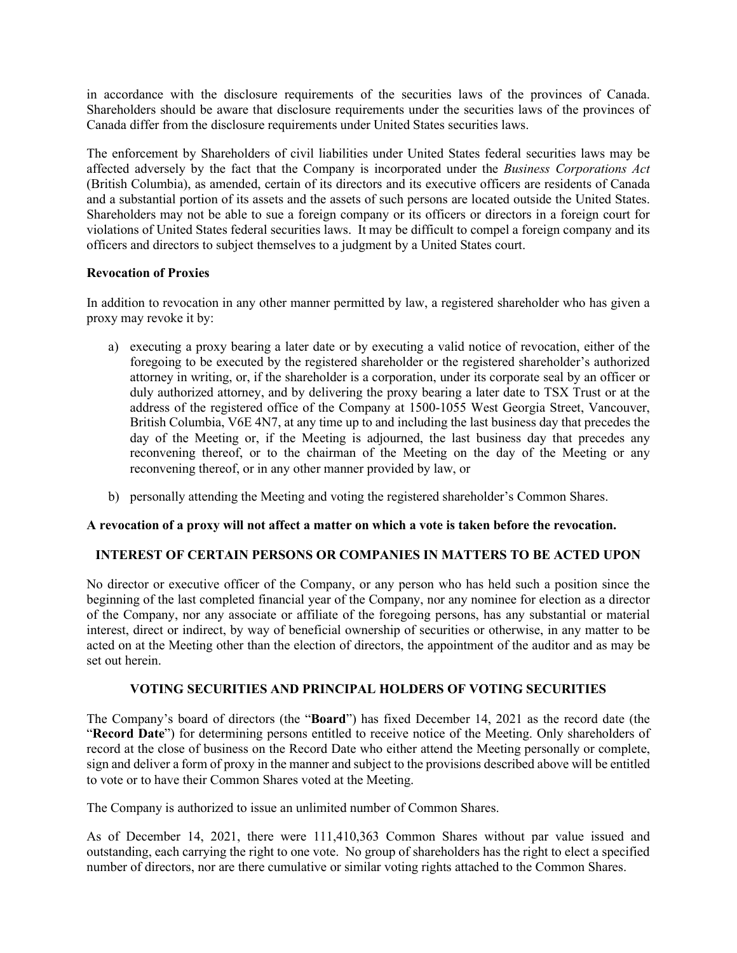in accordance with the disclosure requirements of the securities laws of the provinces of Canada. Shareholders should be aware that disclosure requirements under the securities laws of the provinces of Canada differ from the disclosure requirements under United States securities laws.

The enforcement by Shareholders of civil liabilities under United States federal securities laws may be affected adversely by the fact that the Company is incorporated under the *Business Corporations Act* (British Columbia), as amended, certain of its directors and its executive officers are residents of Canada and a substantial portion of its assets and the assets of such persons are located outside the United States. Shareholders may not be able to sue a foreign company or its officers or directors in a foreign court for violations of United States federal securities laws. It may be difficult to compel a foreign company and its officers and directors to subject themselves to a judgment by a United States court.

# **Revocation of Proxies**

In addition to revocation in any other manner permitted by law, a registered shareholder who has given a proxy may revoke it by:

- a) executing a proxy bearing a later date or by executing a valid notice of revocation, either of the foregoing to be executed by the registered shareholder or the registered shareholder's authorized attorney in writing, or, if the shareholder is a corporation, under its corporate seal by an officer or duly authorized attorney, and by delivering the proxy bearing a later date to TSX Trust or at the address of the registered office of the Company at 1500-1055 West Georgia Street, Vancouver, British Columbia, V6E 4N7, at any time up to and including the last business day that precedes the day of the Meeting or, if the Meeting is adjourned, the last business day that precedes any reconvening thereof, or to the chairman of the Meeting on the day of the Meeting or any reconvening thereof, or in any other manner provided by law, or
- b) personally attending the Meeting and voting the registered shareholder's Common Shares.

## **A revocation of a proxy will not affect a matter on which a vote is taken before the revocation.**

# **INTEREST OF CERTAIN PERSONS OR COMPANIES IN MATTERS TO BE ACTED UPON**

No director or executive officer of the Company, or any person who has held such a position since the beginning of the last completed financial year of the Company, nor any nominee for election as a director of the Company, nor any associate or affiliate of the foregoing persons, has any substantial or material interest, direct or indirect, by way of beneficial ownership of securities or otherwise, in any matter to be acted on at the Meeting other than the election of directors, the appointment of the auditor and as may be set out herein.

## **VOTING SECURITIES AND PRINCIPAL HOLDERS OF VOTING SECURITIES**

The Company's board of directors (the "**Board**") has fixed December 14, 2021 as the record date (the "**Record Date**") for determining persons entitled to receive notice of the Meeting. Only shareholders of record at the close of business on the Record Date who either attend the Meeting personally or complete, sign and deliver a form of proxy in the manner and subject to the provisions described above will be entitled to vote or to have their Common Shares voted at the Meeting.

The Company is authorized to issue an unlimited number of Common Shares.

As of December 14, 2021, there were 111,410,363 Common Shares without par value issued and outstanding, each carrying the right to one vote. No group of shareholders has the right to elect a specified number of directors, nor are there cumulative or similar voting rights attached to the Common Shares.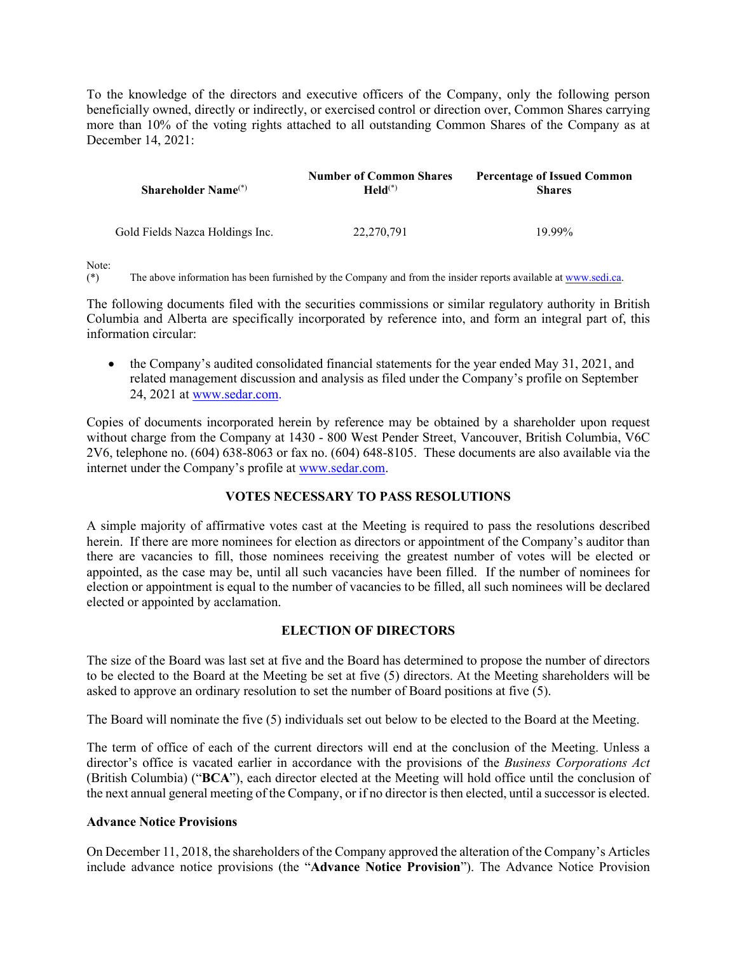To the knowledge of the directors and executive officers of the Company, only the following person beneficially owned, directly or indirectly, or exercised control or direction over, Common Shares carrying more than 10% of the voting rights attached to all outstanding Common Shares of the Company as at December 14, 2021:

| <b>Shareholder Name</b> $(*)$   | <b>Number of Common Shares</b><br>$\text{Held}^{(*)}$ | <b>Percentage of Issued Common</b><br><b>Shares</b> |
|---------------------------------|-------------------------------------------------------|-----------------------------------------------------|
| Gold Fields Nazca Holdings Inc. | 22,270,791                                            | 19.99%                                              |

Note:

(\*) The above information has been furnished by the Company and from the insider reports available at [www.sedi.ca.](http://www.sedi.ca/) 

The following documents filed with the securities commissions or similar regulatory authority in British Columbia and Alberta are specifically incorporated by reference into, and form an integral part of, this information circular:

• the Company's audited consolidated financial statements for the year ended May 31, 2021, and related management discussion and analysis as filed under the Company's profile on September 24, 2021 at [www.sedar.com.](http://www.sedar.com/)

Copies of documents incorporated herein by reference may be obtained by a shareholder upon request without charge from the Company at 1430 - 800 West Pender Street, Vancouver, British Columbia, V6C 2V6, telephone no. (604) 638-8063 or fax no. (604) 648-8105. These documents are also available via the internet under the Company's profile at [www.sedar.com.](http://www.sedar.com/)

# **VOTES NECESSARY TO PASS RESOLUTIONS**

A simple majority of affirmative votes cast at the Meeting is required to pass the resolutions described herein. If there are more nominees for election as directors or appointment of the Company's auditor than there are vacancies to fill, those nominees receiving the greatest number of votes will be elected or appointed, as the case may be, until all such vacancies have been filled. If the number of nominees for election or appointment is equal to the number of vacancies to be filled, all such nominees will be declared elected or appointed by acclamation.

# **ELECTION OF DIRECTORS**

The size of the Board was last set at five and the Board has determined to propose the number of directors to be elected to the Board at the Meeting be set at five (5) directors. At the Meeting shareholders will be asked to approve an ordinary resolution to set the number of Board positions at five (5).

The Board will nominate the five (5) individuals set out below to be elected to the Board at the Meeting.

The term of office of each of the current directors will end at the conclusion of the Meeting. Unless a director's office is vacated earlier in accordance with the provisions of the *Business Corporations Act* (British Columbia) ("**BCA**"), each director elected at the Meeting will hold office until the conclusion of the next annual general meeting of the Company, or if no director is then elected, until a successor is elected.

## **Advance Notice Provisions**

On December 11, 2018, the shareholders of the Company approved the alteration of the Company's Articles include advance notice provisions (the "**Advance Notice Provision**"). The Advance Notice Provision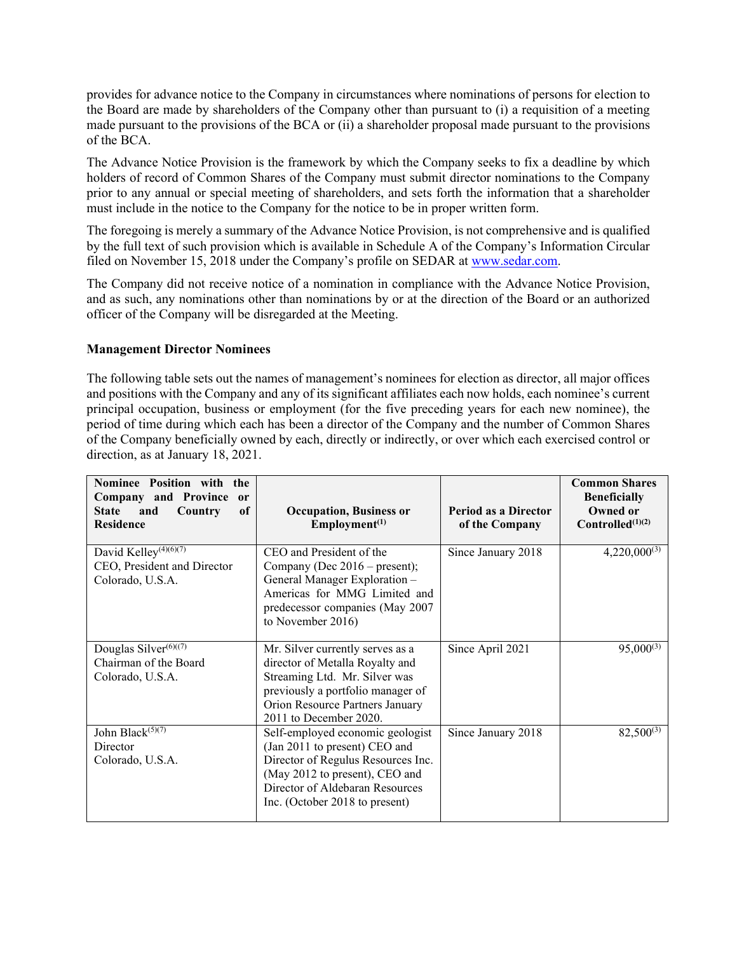provides for advance notice to the Company in circumstances where nominations of persons for election to the Board are made by shareholders of the Company other than pursuant to (i) a requisition of a meeting made pursuant to the provisions of the BCA or (ii) a shareholder proposal made pursuant to the provisions of the BCA.

The Advance Notice Provision is the framework by which the Company seeks to fix a deadline by which holders of record of Common Shares of the Company must submit director nominations to the Company prior to any annual or special meeting of shareholders, and sets forth the information that a shareholder must include in the notice to the Company for the notice to be in proper written form.

The foregoing is merely a summary of the Advance Notice Provision, is not comprehensive and is qualified by the full text of such provision which is available in Schedule A of the Company's Information Circular filed on November 15, 2018 under the Company's profile on SEDAR at [www.sedar.com.](http://www.sedar.com/)

The Company did not receive notice of a nomination in compliance with the Advance Notice Provision, and as such, any nominations other than nominations by or at the direction of the Board or an authorized officer of the Company will be disregarded at the Meeting.

### **Management Director Nominees**

The following table sets out the names of management's nominees for election as director, all major offices and positions with the Company and any of its significant affiliates each now holds, each nominee's current principal occupation, business or employment (for the five preceding years for each new nominee), the period of time during which each has been a director of the Company and the number of Common Shares of the Company beneficially owned by each, directly or indirectly, or over which each exercised control or direction, as at January 18, 2021.

| Nominee Position with the<br>Company and Province<br><sub>or</sub><br>and<br>of<br><b>State</b><br>Country<br><b>Residence</b> | <b>Occupation, Business or</b><br>Employment <sup>(1)</sup>                                                                                                                                                    | Period as a Director<br>of the Company | <b>Common Shares</b><br><b>Beneficially</b><br>Owned or<br>$Controlled^{(1)(2)}$ |
|--------------------------------------------------------------------------------------------------------------------------------|----------------------------------------------------------------------------------------------------------------------------------------------------------------------------------------------------------------|----------------------------------------|----------------------------------------------------------------------------------|
| David Kelley <sup>(4)(6)(7)</sup><br>CEO, President and Director<br>Colorado, U.S.A.                                           | CEO and President of the<br>Company (Dec $2016$ – present);<br>General Manager Exploration -<br>Americas for MMG Limited and<br>predecessor companies (May 2007<br>to November 2016)                           | Since January 2018                     | $4,220,000^{(3)}$                                                                |
| Douglas Silver <sup>(6)((7)</sup><br>Chairman of the Board<br>Colorado, U.S.A.                                                 | Mr. Silver currently serves as a<br>director of Metalla Royalty and<br>Streaming Ltd. Mr. Silver was<br>previously a portfolio manager of<br>Orion Resource Partners January<br>2011 to December 2020.         | Since April 2021                       | $95,000^{(3)}$                                                                   |
| John Black <sup>(5)(7)</sup><br>Director<br>Colorado, U.S.A.                                                                   | Self-employed economic geologist<br>(Jan 2011 to present) CEO and<br>Director of Regulus Resources Inc.<br>(May 2012 to present), CEO and<br>Director of Aldebaran Resources<br>Inc. (October 2018 to present) | Since January 2018                     | $82,500^{(3)}$                                                                   |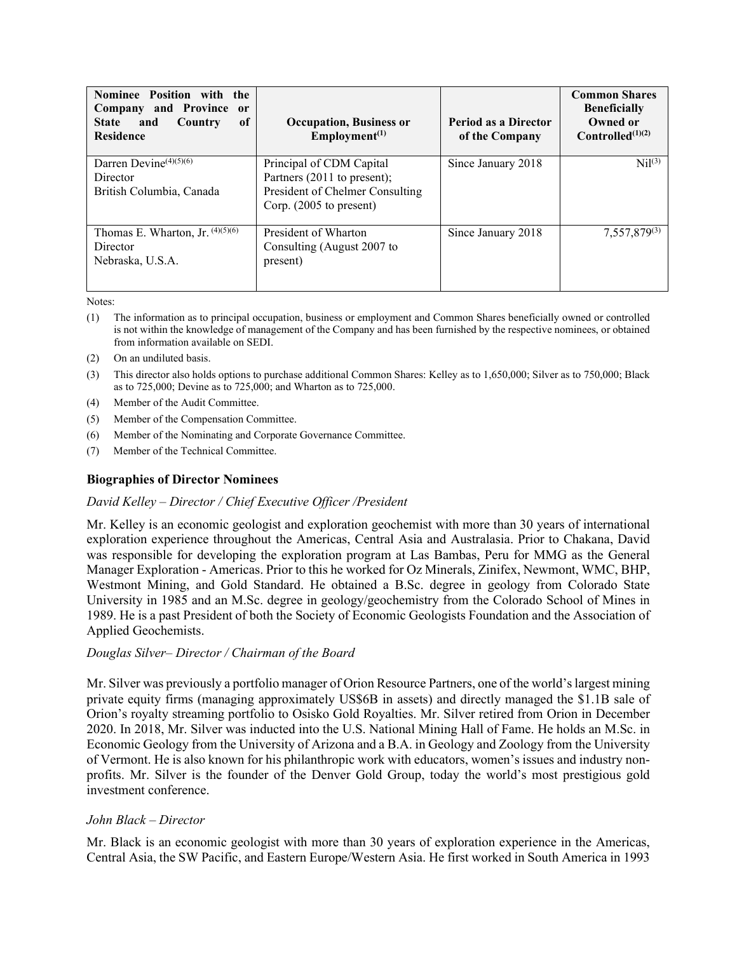| Nominee Position with the<br>Company and Province or<br><b>Country</b><br>0f<br>and<br><b>State</b><br><b>Residence</b> | <b>Occupation, Business or</b><br>Employment <sup>(1)</sup>                                                           | Period as a Director<br>of the Company | <b>Common Shares</b><br><b>Beneficially</b><br>Owned or<br>Controlled $(1)(2)$ |
|-------------------------------------------------------------------------------------------------------------------------|-----------------------------------------------------------------------------------------------------------------------|----------------------------------------|--------------------------------------------------------------------------------|
| Darren Devine $(4)(5)(6)$<br>Director<br>British Columbia, Canada                                                       | Principal of CDM Capital<br>Partners (2011 to present);<br>President of Chelmer Consulting<br>Corp. (2005 to present) | Since January 2018                     | $\mathrm{Nil}^{(3)}$                                                           |
| Thomas E. Wharton, Jr. $(4)(5)(6)$<br>Director<br>Nebraska, U.S.A.                                                      | President of Wharton<br>Consulting (August 2007 to<br>present)                                                        | Since January 2018                     | 7,557,879(3)                                                                   |

Notes:

- (1) The information as to principal occupation, business or employment and Common Shares beneficially owned or controlled is not within the knowledge of management of the Company and has been furnished by the respective nominees, or obtained from information available on SEDI.
- (2) On an undiluted basis.
- (3) This director also holds options to purchase additional Common Shares: Kelley as to 1,650,000; Silver as to 750,000; Black as to 725,000; Devine as to 725,000; and Wharton as to 725,000.
- (4) Member of the Audit Committee.
- (5) Member of the Compensation Committee.
- (6) Member of the Nominating and Corporate Governance Committee.
- (7) Member of the Technical Committee.

## **Biographies of Director Nominees**

## *David Kelley – Director / Chief Executive Officer /President*

Mr. Kelley is an economic geologist and exploration geochemist with more than 30 years of international exploration experience throughout the Americas, Central Asia and Australasia. Prior to Chakana, David was responsible for developing the exploration program at Las Bambas, Peru for MMG as the General Manager Exploration - Americas. Prior to this he worked for Oz Minerals, Zinifex, Newmont, WMC, BHP, Westmont Mining, and Gold Standard. He obtained a B.Sc. degree in geology from Colorado State University in 1985 and an M.Sc. degree in geology/geochemistry from the Colorado School of Mines in 1989. He is a past President of both the Society of Economic Geologists Foundation and the Association of Applied Geochemists.

## *Douglas Silver– Director / Chairman of the Board*

Mr. Silver was previously a portfolio manager of Orion Resource Partners, one of the world's largest mining private equity firms (managing approximately US\$6B in assets) and directly managed the \$1.1B sale of Orion's royalty streaming portfolio to Osisko Gold Royalties. Mr. Silver retired from Orion in December 2020. In 2018, Mr. Silver was inducted into the U.S. National Mining Hall of Fame. He holds an M.Sc. in Economic Geology from the University of Arizona and a B.A. in Geology and Zoology from the University of Vermont. He is also known for his philanthropic work with educators, women's issues and industry nonprofits. Mr. Silver is the founder of the Denver Gold Group, today the world's most prestigious gold investment conference.

## *John Black – Director*

Mr. Black is an economic geologist with more than 30 years of exploration experience in the Americas, Central Asia, the SW Pacific, and Eastern Europe/Western Asia. He first worked in South America in 1993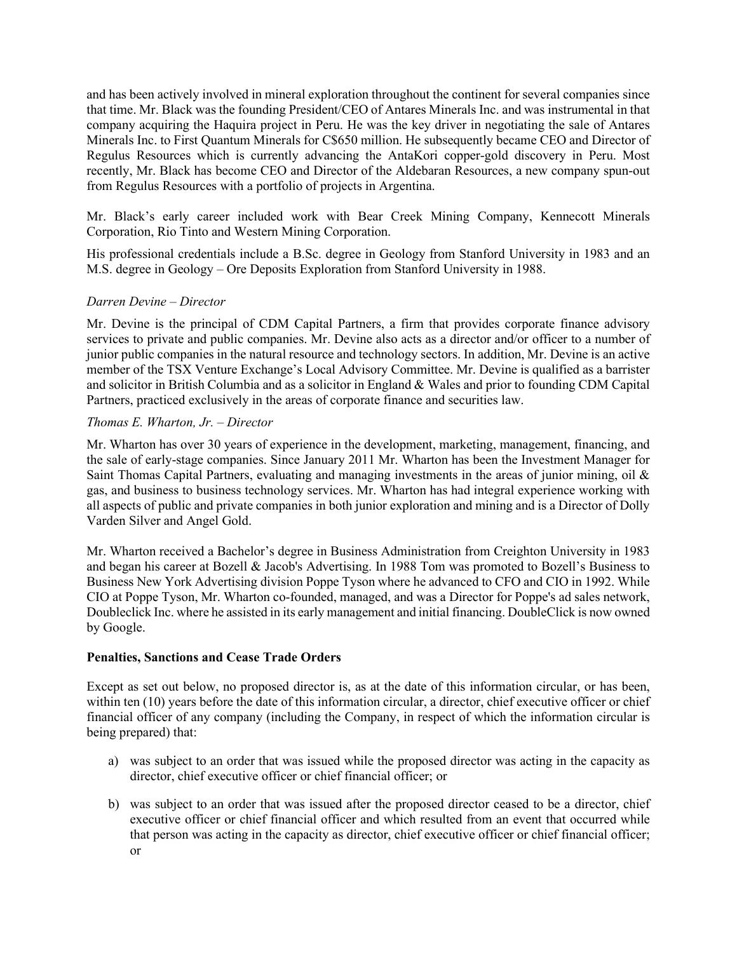and has been actively involved in mineral exploration throughout the continent for several companies since that time. Mr. Black was the founding President/CEO of Antares Minerals Inc. and was instrumental in that company acquiring the Haquira project in Peru. He was the key driver in negotiating the sale of Antares Minerals Inc. to First Quantum Minerals for C\$650 million. He subsequently became CEO and Director of Regulus Resources which is currently advancing the AntaKori copper-gold discovery in Peru. Most recently, Mr. Black has become CEO and Director of the Aldebaran Resources, a new company spun-out from Regulus Resources with a portfolio of projects in Argentina.

Mr. Black's early career included work with Bear Creek Mining Company, Kennecott Minerals Corporation, Rio Tinto and Western Mining Corporation.

His professional credentials include a B.Sc. degree in Geology from Stanford University in 1983 and an M.S. degree in Geology – Ore Deposits Exploration from Stanford University in 1988.

## *Darren Devine – Director*

Mr. Devine is the principal of CDM Capital Partners, a firm that provides corporate finance advisory services to private and public companies. Mr. Devine also acts as a director and/or officer to a number of junior public companies in the natural resource and technology sectors. In addition, Mr. Devine is an active member of the TSX Venture Exchange's Local Advisory Committee. Mr. Devine is qualified as a barrister and solicitor in British Columbia and as a solicitor in England & Wales and prior to founding CDM Capital Partners, practiced exclusively in the areas of corporate finance and securities law.

## *Thomas E. Wharton, Jr. – Director*

Mr. Wharton has over 30 years of experience in the development, marketing, management, financing, and the sale of early-stage companies. Since January 2011 Mr. Wharton has been the Investment Manager for Saint Thomas Capital Partners, evaluating and managing investments in the areas of junior mining, oil & gas, and business to business technology services. Mr. Wharton has had integral experience working with all aspects of public and private companies in both junior exploration and mining and is a Director of Dolly Varden Silver and Angel Gold.

Mr. Wharton received a Bachelor's degree in Business Administration from Creighton University in 1983 and began his career at Bozell & Jacob's Advertising. In 1988 Tom was promoted to Bozell's Business to Business New York Advertising division Poppe Tyson where he advanced to CFO and CIO in 1992. While CIO at Poppe Tyson, Mr. Wharton co-founded, managed, and was a Director for Poppe's ad sales network, Doubleclick Inc. where he assisted in its early management and initial financing. DoubleClick is now owned by Google.

## **Penalties, Sanctions and Cease Trade Orders**

Except as set out below, no proposed director is, as at the date of this information circular, or has been, within ten (10) years before the date of this information circular, a director, chief executive officer or chief financial officer of any company (including the Company, in respect of which the information circular is being prepared) that:

- a) was subject to an order that was issued while the proposed director was acting in the capacity as director, chief executive officer or chief financial officer; or
- b) was subject to an order that was issued after the proposed director ceased to be a director, chief executive officer or chief financial officer and which resulted from an event that occurred while that person was acting in the capacity as director, chief executive officer or chief financial officer; or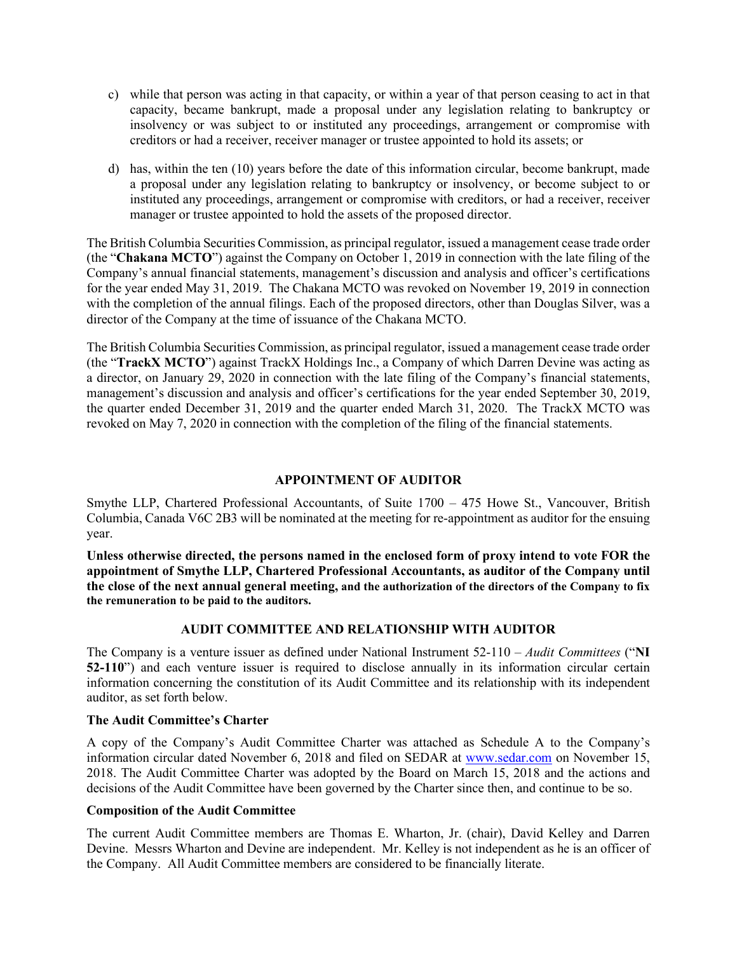- c) while that person was acting in that capacity, or within a year of that person ceasing to act in that capacity, became bankrupt, made a proposal under any legislation relating to bankruptcy or insolvency or was subject to or instituted any proceedings, arrangement or compromise with creditors or had a receiver, receiver manager or trustee appointed to hold its assets; or
- d) has, within the ten (10) years before the date of this information circular, become bankrupt, made a proposal under any legislation relating to bankruptcy or insolvency, or become subject to or instituted any proceedings, arrangement or compromise with creditors, or had a receiver, receiver manager or trustee appointed to hold the assets of the proposed director.

The British Columbia Securities Commission, as principal regulator, issued a management cease trade order (the "**Chakana MCTO**") against the Company on October 1, 2019 in connection with the late filing of the Company's annual financial statements, management's discussion and analysis and officer's certifications for the year ended May 31, 2019. The Chakana MCTO was revoked on November 19, 2019 in connection with the completion of the annual filings. Each of the proposed directors, other than Douglas Silver, was a director of the Company at the time of issuance of the Chakana MCTO.

The British Columbia Securities Commission, as principal regulator, issued a management cease trade order (the "**TrackX MCTO**") against TrackX Holdings Inc., a Company of which Darren Devine was acting as a director, on January 29, 2020 in connection with the late filing of the Company's financial statements, management's discussion and analysis and officer's certifications for the year ended September 30, 2019, the quarter ended December 31, 2019 and the quarter ended March 31, 2020. The TrackX MCTO was revoked on May 7, 2020 in connection with the completion of the filing of the financial statements.

# **APPOINTMENT OF AUDITOR**

Smythe LLP, Chartered Professional Accountants, of Suite 1700 – 475 Howe St., Vancouver, British Columbia, Canada V6C 2B3 will be nominated at the meeting for re-appointment as auditor for the ensuing year.

**Unless otherwise directed, the persons named in the enclosed form of proxy intend to vote FOR the appointment of Smythe LLP, Chartered Professional Accountants, as auditor of the Company until the close of the next annual general meeting, and the authorization of the directors of the Company to fix the remuneration to be paid to the auditors.**

# **AUDIT COMMITTEE AND RELATIONSHIP WITH AUDITOR**

The Company is a venture issuer as defined under National Instrument 52-110 – *Audit Committees* ("**NI 52-110**") and each venture issuer is required to disclose annually in its information circular certain information concerning the constitution of its Audit Committee and its relationship with its independent auditor, as set forth below.

## **The Audit Committee's Charter**

A copy of the Company's Audit Committee Charter was attached as Schedule A to the Company's information circular dated November 6, 2018 and filed on SEDAR at [www.sedar.com](http://www.sedar.com/) on November 15, 2018. The Audit Committee Charter was adopted by the Board on March 15, 2018 and the actions and decisions of the Audit Committee have been governed by the Charter since then, and continue to be so.

## **Composition of the Audit Committee**

The current Audit Committee members are Thomas E. Wharton, Jr. (chair), David Kelley and Darren Devine. Messrs Wharton and Devine are independent. Mr. Kelley is not independent as he is an officer of the Company. All Audit Committee members are considered to be financially literate.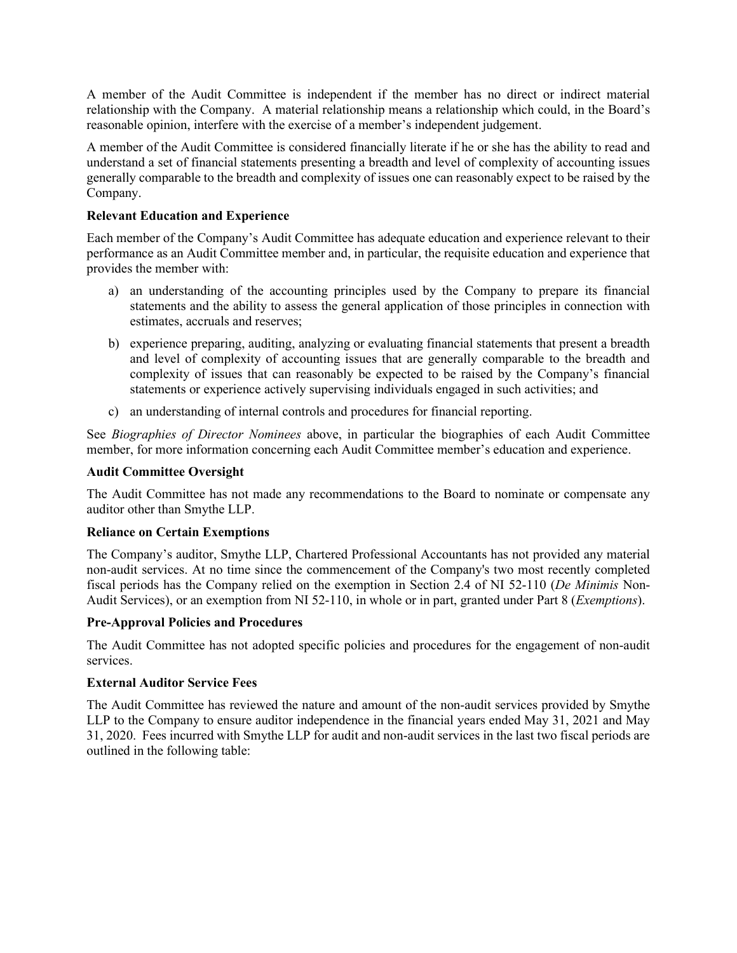A member of the Audit Committee is independent if the member has no direct or indirect material relationship with the Company. A material relationship means a relationship which could, in the Board's reasonable opinion, interfere with the exercise of a member's independent judgement.

A member of the Audit Committee is considered financially literate if he or she has the ability to read and understand a set of financial statements presenting a breadth and level of complexity of accounting issues generally comparable to the breadth and complexity of issues one can reasonably expect to be raised by the Company.

## **Relevant Education and Experience**

Each member of the Company's Audit Committee has adequate education and experience relevant to their performance as an Audit Committee member and, in particular, the requisite education and experience that provides the member with:

- a) an understanding of the accounting principles used by the Company to prepare its financial statements and the ability to assess the general application of those principles in connection with estimates, accruals and reserves;
- b) experience preparing, auditing, analyzing or evaluating financial statements that present a breadth and level of complexity of accounting issues that are generally comparable to the breadth and complexity of issues that can reasonably be expected to be raised by the Company's financial statements or experience actively supervising individuals engaged in such activities; and
- c) an understanding of internal controls and procedures for financial reporting.

See *Biographies of Director Nominees* above, in particular the biographies of each Audit Committee member, for more information concerning each Audit Committee member's education and experience.

## **Audit Committee Oversight**

The Audit Committee has not made any recommendations to the Board to nominate or compensate any auditor other than Smythe LLP.

## **Reliance on Certain Exemptions**

The Company's auditor, Smythe LLP, Chartered Professional Accountants has not provided any material non-audit services. At no time since the commencement of the Company's two most recently completed fiscal periods has the Company relied on the exemption in Section 2.4 of NI 52-110 (*De Minimis* Non-Audit Services), or an exemption from NI 52-110, in whole or in part, granted under Part 8 (*Exemptions*).

## **Pre-Approval Policies and Procedures**

The Audit Committee has not adopted specific policies and procedures for the engagement of non-audit services.

## **External Auditor Service Fees**

The Audit Committee has reviewed the nature and amount of the non-audit services provided by Smythe LLP to the Company to ensure auditor independence in the financial years ended May 31, 2021 and May 31, 2020. Fees incurred with Smythe LLP for audit and non-audit services in the last two fiscal periods are outlined in the following table: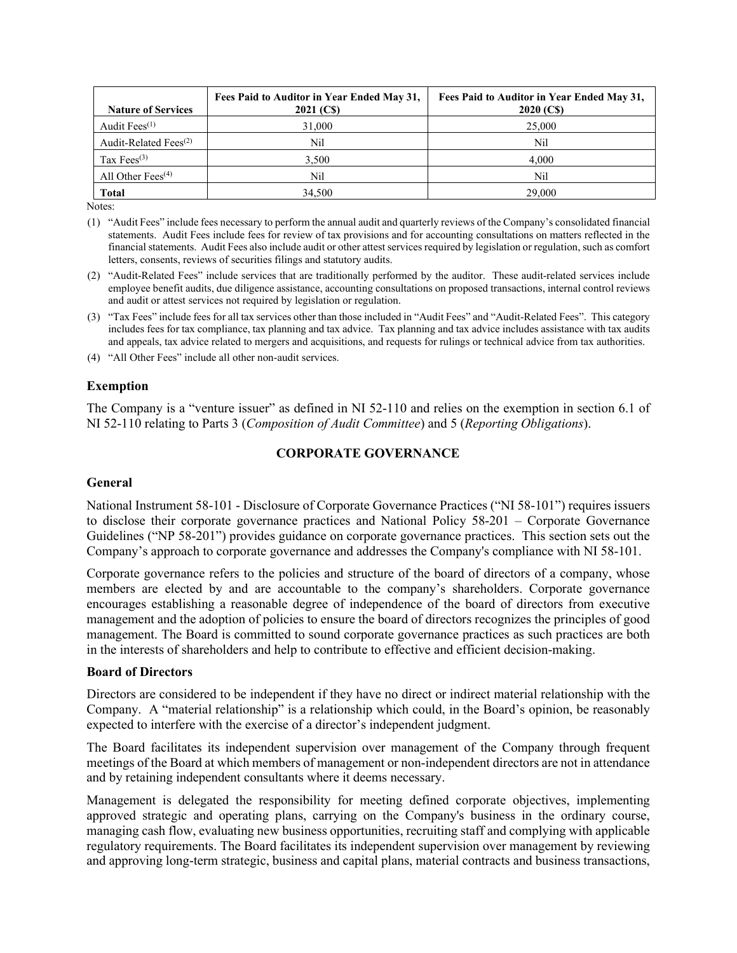| <b>Nature of Services</b>         | Fees Paid to Auditor in Year Ended May 31,<br>2021 (CS) | Fees Paid to Auditor in Year Ended May 31,<br>2020 (CS) |
|-----------------------------------|---------------------------------------------------------|---------------------------------------------------------|
| Audit Fees $(1)$                  | 31,000                                                  | 25,000                                                  |
| Audit-Related Fees <sup>(2)</sup> | Nil                                                     | Nil                                                     |
| Tax $Fees^{(3)}$                  | 3,500                                                   | 4.000                                                   |
| All Other Fees $(4)$              | Nil                                                     | Nil                                                     |
| <b>Total</b>                      | 34,500                                                  | 29,000                                                  |

Notes:

- (1) "Audit Fees" include fees necessary to perform the annual audit and quarterly reviews of the Company's consolidated financial statements. Audit Fees include fees for review of tax provisions and for accounting consultations on matters reflected in the financial statements. Audit Fees also include audit or other attest services required by legislation or regulation, such as comfort letters, consents, reviews of securities filings and statutory audits.
- (2) "Audit-Related Fees" include services that are traditionally performed by the auditor. These audit-related services include employee benefit audits, due diligence assistance, accounting consultations on proposed transactions, internal control reviews and audit or attest services not required by legislation or regulation.
- (3) "Tax Fees" include fees for all tax services other than those included in "Audit Fees" and "Audit-Related Fees". This category includes fees for tax compliance, tax planning and tax advice. Tax planning and tax advice includes assistance with tax audits and appeals, tax advice related to mergers and acquisitions, and requests for rulings or technical advice from tax authorities.

(4) "All Other Fees" include all other non-audit services.

### **Exemption**

The Company is a "venture issuer" as defined in NI 52-110 and relies on the exemption in section 6.1 of NI 52-110 relating to Parts 3 (*Composition of Audit Committee*) and 5 (*Reporting Obligations*).

## **CORPORATE GOVERNANCE**

### **General**

National Instrument 58-101 - Disclosure of Corporate Governance Practices ("NI 58-101") requires issuers to disclose their corporate governance practices and National Policy 58-201 – Corporate Governance Guidelines ("NP 58-201") provides guidance on corporate governance practices. This section sets out the Company's approach to corporate governance and addresses the Company's compliance with NI 58-101.

Corporate governance refers to the policies and structure of the board of directors of a company, whose members are elected by and are accountable to the company's shareholders. Corporate governance encourages establishing a reasonable degree of independence of the board of directors from executive management and the adoption of policies to ensure the board of directors recognizes the principles of good management. The Board is committed to sound corporate governance practices as such practices are both in the interests of shareholders and help to contribute to effective and efficient decision-making.

### **Board of Directors**

Directors are considered to be independent if they have no direct or indirect material relationship with the Company. A "material relationship" is a relationship which could, in the Board's opinion, be reasonably expected to interfere with the exercise of a director's independent judgment.

The Board facilitates its independent supervision over management of the Company through frequent meetings of the Board at which members of management or non-independent directors are not in attendance and by retaining independent consultants where it deems necessary.

Management is delegated the responsibility for meeting defined corporate objectives, implementing approved strategic and operating plans, carrying on the Company's business in the ordinary course, managing cash flow, evaluating new business opportunities, recruiting staff and complying with applicable regulatory requirements. The Board facilitates its independent supervision over management by reviewing and approving long-term strategic, business and capital plans, material contracts and business transactions,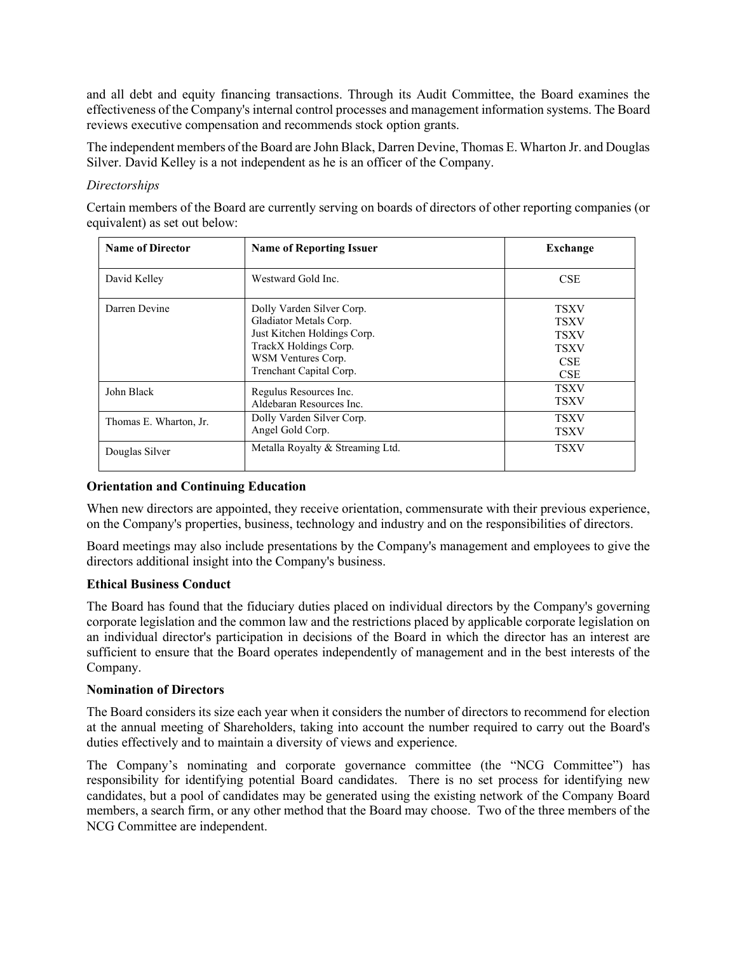and all debt and equity financing transactions. Through its Audit Committee, the Board examines the effectiveness of the Company's internal control processes and management information systems. The Board reviews executive compensation and recommends stock option grants.

The independent members of the Board are John Black, Darren Devine, Thomas E. Wharton Jr. and Douglas Silver. David Kelley is a not independent as he is an officer of the Company.

## *Directorships*

Certain members of the Board are currently serving on boards of directors of other reporting companies (or equivalent) as set out below:

| <b>Name of Director</b> | <b>Name of Reporting Issuer</b>                                                                                                                              | Exchange                                                                             |
|-------------------------|--------------------------------------------------------------------------------------------------------------------------------------------------------------|--------------------------------------------------------------------------------------|
| David Kelley            | Westward Gold Inc.                                                                                                                                           | <b>CSE</b>                                                                           |
| Darren Devine           | Dolly Varden Silver Corp.<br>Gladiator Metals Corp.<br>Just Kitchen Holdings Corp.<br>TrackX Holdings Corp.<br>WSM Ventures Corp.<br>Trenchant Capital Corp. | <b>TSXV</b><br><b>TSXV</b><br><b>TSXV</b><br><b>TSXV</b><br><b>CSE</b><br><b>CSE</b> |
| John Black              | Regulus Resources Inc.<br>Aldebaran Resources Inc.                                                                                                           | <b>TSXV</b><br><b>TSXV</b>                                                           |
| Thomas E. Wharton, Jr.  | Dolly Varden Silver Corp.<br>Angel Gold Corp.                                                                                                                | <b>TSXV</b><br><b>TSXV</b>                                                           |
| Douglas Silver          | Metalla Royalty & Streaming Ltd.                                                                                                                             | <b>TSXV</b>                                                                          |

## **Orientation and Continuing Education**

When new directors are appointed, they receive orientation, commensurate with their previous experience, on the Company's properties, business, technology and industry and on the responsibilities of directors.

Board meetings may also include presentations by the Company's management and employees to give the directors additional insight into the Company's business.

### **Ethical Business Conduct**

The Board has found that the fiduciary duties placed on individual directors by the Company's governing corporate legislation and the common law and the restrictions placed by applicable corporate legislation on an individual director's participation in decisions of the Board in which the director has an interest are sufficient to ensure that the Board operates independently of management and in the best interests of the Company.

### **Nomination of Directors**

The Board considers its size each year when it considers the number of directors to recommend for election at the annual meeting of Shareholders, taking into account the number required to carry out the Board's duties effectively and to maintain a diversity of views and experience.

The Company's nominating and corporate governance committee (the "NCG Committee") has responsibility for identifying potential Board candidates. There is no set process for identifying new candidates, but a pool of candidates may be generated using the existing network of the Company Board members, a search firm, or any other method that the Board may choose. Two of the three members of the NCG Committee are independent.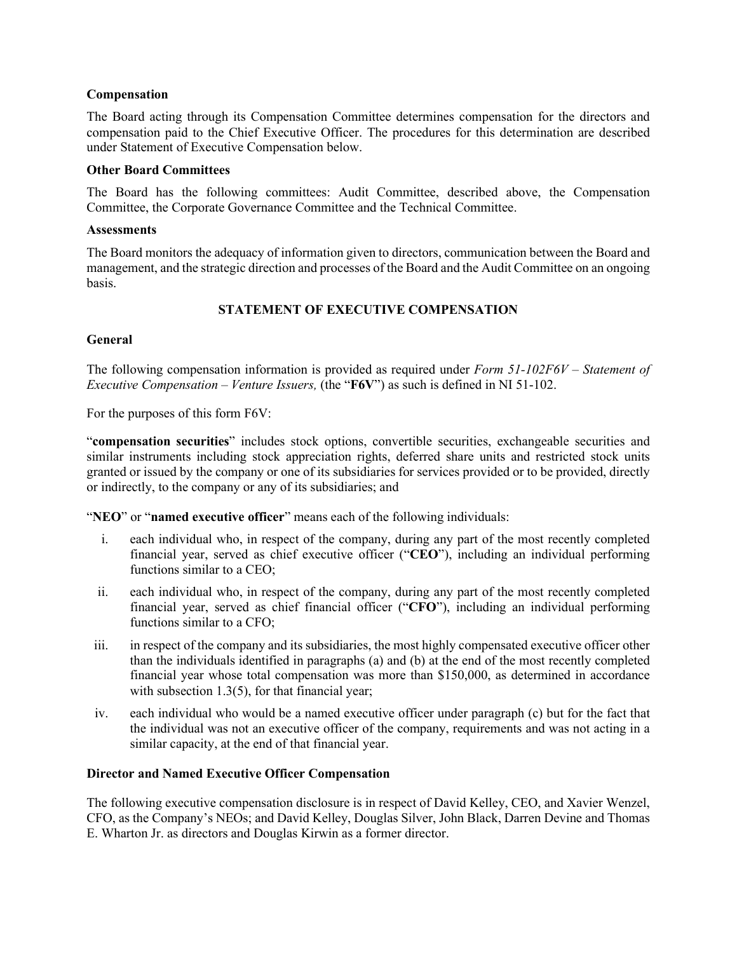## **Compensation**

The Board acting through its Compensation Committee determines compensation for the directors and compensation paid to the Chief Executive Officer. The procedures for this determination are described under Statement of Executive Compensation below.

### **Other Board Committees**

The Board has the following committees: Audit Committee, described above, the Compensation Committee, the Corporate Governance Committee and the Technical Committee.

### **Assessments**

The Board monitors the adequacy of information given to directors, communication between the Board and management, and the strategic direction and processes of the Board and the Audit Committee on an ongoing basis.

# **STATEMENT OF EXECUTIVE COMPENSATION**

## **General**

The following compensation information is provided as required under *Form 51-102F6V – Statement of Executive Compensation – Venture Issuers,* (the "**F6V**") as such is defined in NI 51-102.

For the purposes of this form F6V:

"**compensation securities**" includes stock options, convertible securities, exchangeable securities and similar instruments including stock appreciation rights, deferred share units and restricted stock units granted or issued by the company or one of its subsidiaries for services provided or to be provided, directly or indirectly, to the company or any of its subsidiaries; and

"**NEO**" or "**named executive officer**" means each of the following individuals:

- i. each individual who, in respect of the company, during any part of the most recently completed financial year, served as chief executive officer ("**CEO**"), including an individual performing functions similar to a CEO;
- ii. each individual who, in respect of the company, during any part of the most recently completed financial year, served as chief financial officer ("**CFO**"), including an individual performing functions similar to a CFO;
- iii. in respect of the company and its subsidiaries, the most highly compensated executive officer other than the individuals identified in paragraphs (a) and (b) at the end of the most recently completed financial year whose total compensation was more than \$150,000, as determined in accordance with subsection 1.3(5), for that financial year;
- iv. each individual who would be a named executive officer under paragraph (c) but for the fact that the individual was not an executive officer of the company, requirements and was not acting in a similar capacity, at the end of that financial year.

# **Director and Named Executive Officer Compensation**

The following executive compensation disclosure is in respect of David Kelley, CEO, and Xavier Wenzel, CFO, as the Company's NEOs; and David Kelley, Douglas Silver, John Black, Darren Devine and Thomas E. Wharton Jr. as directors and Douglas Kirwin as a former director.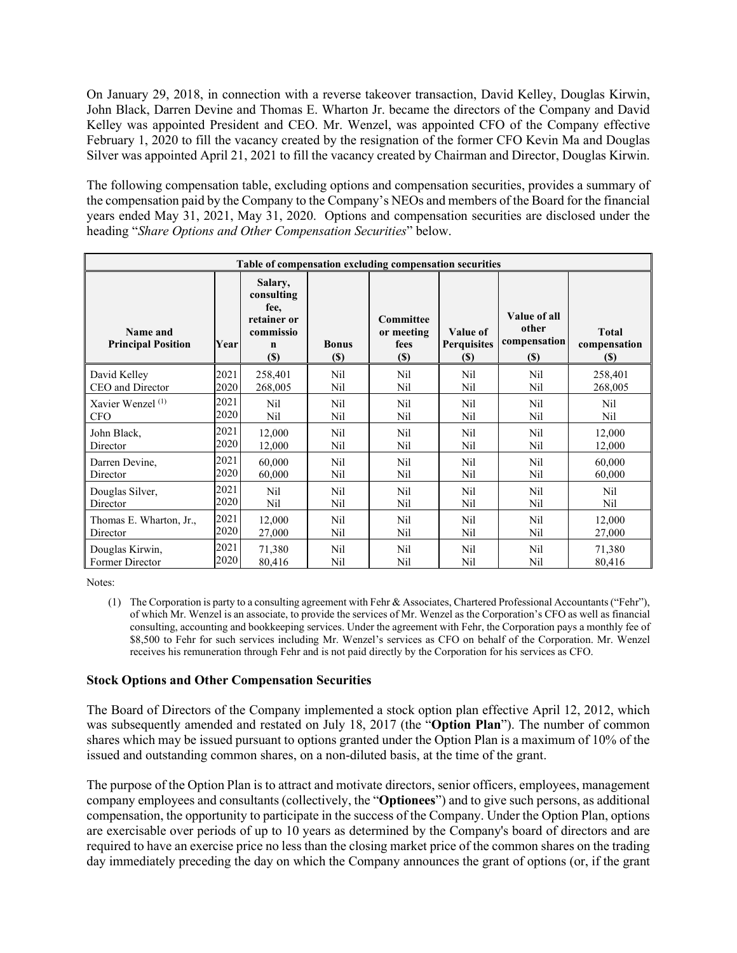On January 29, 2018, in connection with a reverse takeover transaction, David Kelley, Douglas Kirwin, John Black, Darren Devine and Thomas E. Wharton Jr. became the directors of the Company and David Kelley was appointed President and CEO. Mr. Wenzel, was appointed CFO of the Company effective February 1, 2020 to fill the vacancy created by the resignation of the former CFO Kevin Ma and Douglas Silver was appointed April 21, 2021 to fill the vacancy created by Chairman and Director, Douglas Kirwin.

The following compensation table, excluding options and compensation securities, provides a summary of the compensation paid by the Company to the Company's NEOs and members of the Board for the financial years ended May 31, 2021, May 31, 2020. Options and compensation securities are disclosed under the heading "*Share Options and Other Compensation Securities*" below.

| Table of compensation excluding compensation securities |      |                                                                                    |                             |                                           |                                       |                                                      |                                             |
|---------------------------------------------------------|------|------------------------------------------------------------------------------------|-----------------------------|-------------------------------------------|---------------------------------------|------------------------------------------------------|---------------------------------------------|
| Name and<br><b>Principal Position</b>                   | Year | Salary,<br>consulting<br>fee,<br>retainer or<br>commissio<br>$\mathbf n$<br>$(\$)$ | <b>Bonus</b><br><b>(\$)</b> | Committee<br>or meeting<br>fees<br>$(\$)$ | Value of<br><b>Perquisites</b><br>(S) | Value of all<br>other<br>compensation<br><b>(\$)</b> | <b>Total</b><br>compensation<br><b>(\$)</b> |
| David Kelley                                            | 2021 | 258,401                                                                            | Nil                         | Nil                                       | Nil                                   | Nil                                                  | 258,401                                     |
| CEO and Director                                        | 2020 | 268,005                                                                            | Nil                         | Nil                                       | Nil                                   | Nil                                                  | 268,005                                     |
| Xavier Wenzel <sup>(1)</sup>                            | 2021 | Nil                                                                                | Nil                         | Nil                                       | Nil                                   | Nil                                                  | Nil                                         |
| <b>CFO</b>                                              | 2020 | Nil                                                                                | Nil                         | Nil                                       | Nil                                   | Nil                                                  | Nil                                         |
| John Black,                                             | 2021 | 12,000                                                                             | Nil                         | Nil                                       | Nil                                   | Nil                                                  | 12,000                                      |
| Director                                                | 2020 | 12,000                                                                             | Nil                         | Nil                                       | Nil                                   | Nil                                                  | 12,000                                      |
| Darren Devine,                                          | 2021 | 60,000                                                                             | Nil                         | Nil                                       | Nil                                   | Nil                                                  | 60,000                                      |
| Director                                                | 2020 | 60,000                                                                             | Nil                         | Nil                                       | Nil                                   | Nil                                                  | 60,000                                      |
| Douglas Silver,                                         | 2021 | Nil                                                                                | Nil                         | Nil                                       | Nil                                   | Nil                                                  | Nil                                         |
| Director                                                | 2020 | Nil                                                                                | Nil                         | Nil                                       | Nil                                   | Nil                                                  | Nil                                         |
| Thomas E. Wharton, Jr.,                                 | 2021 | 12,000                                                                             | Nil                         | Nil                                       | N <sub>il</sub>                       | Nil                                                  | 12,000                                      |
| Director                                                | 2020 | 27,000                                                                             | Nil                         | Nil                                       | Nil                                   | Nil                                                  | 27,000                                      |
| Douglas Kirwin,                                         | 2021 | 71,380                                                                             | Nil                         | Nil                                       | Nil                                   | Nil                                                  | 71,380                                      |
| Former Director                                         | 2020 | 80,416                                                                             | Nil                         | Nil                                       | Nil                                   | Nil                                                  | 80,416                                      |

Notes:

(1) The Corporation is party to a consulting agreement with Fehr & Associates, Chartered Professional Accountants ("Fehr"), of which Mr. Wenzel is an associate, to provide the services of Mr. Wenzel as the Corporation's CFO as well as financial consulting, accounting and bookkeeping services. Under the agreement with Fehr, the Corporation pays a monthly fee of \$8,500 to Fehr for such services including Mr. Wenzel's services as CFO on behalf of the Corporation. Mr. Wenzel receives his remuneration through Fehr and is not paid directly by the Corporation for his services as CFO.

## **Stock Options and Other Compensation Securities**

The Board of Directors of the Company implemented a stock option plan effective April 12, 2012, which was subsequently amended and restated on July 18, 2017 (the "**Option Plan**"). The number of common shares which may be issued pursuant to options granted under the Option Plan is a maximum of 10% of the issued and outstanding common shares, on a non-diluted basis, at the time of the grant.

The purpose of the Option Plan is to attract and motivate directors, senior officers, employees, management company employees and consultants (collectively, the "**Optionees**") and to give such persons, as additional compensation, the opportunity to participate in the success of the Company. Under the Option Plan, options are exercisable over periods of up to 10 years as determined by the Company's board of directors and are required to have an exercise price no less than the closing market price of the common shares on the trading day immediately preceding the day on which the Company announces the grant of options (or, if the grant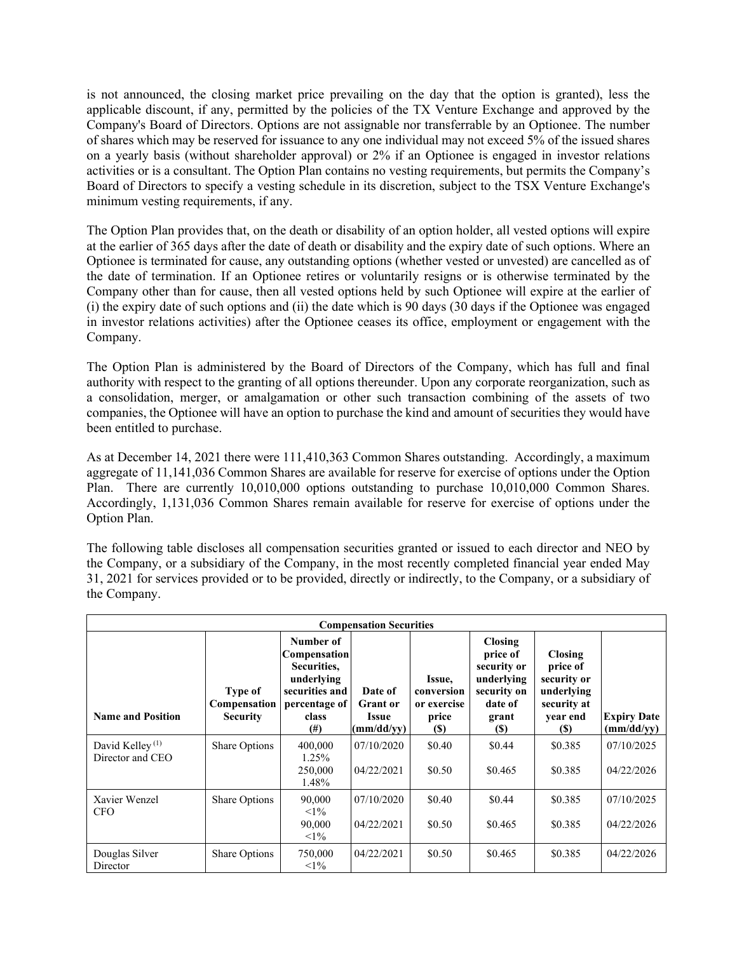is not announced, the closing market price prevailing on the day that the option is granted), less the applicable discount, if any, permitted by the policies of the TX Venture Exchange and approved by the Company's Board of Directors. Options are not assignable nor transferrable by an Optionee. The number of shares which may be reserved for issuance to any one individual may not exceed 5% of the issued shares on a yearly basis (without shareholder approval) or 2% if an Optionee is engaged in investor relations activities or is a consultant. The Option Plan contains no vesting requirements, but permits the Company's Board of Directors to specify a vesting schedule in its discretion, subject to the TSX Venture Exchange's minimum vesting requirements, if any.

The Option Plan provides that, on the death or disability of an option holder, all vested options will expire at the earlier of 365 days after the date of death or disability and the expiry date of such options. Where an Optionee is terminated for cause, any outstanding options (whether vested or unvested) are cancelled as of the date of termination. If an Optionee retires or voluntarily resigns or is otherwise terminated by the Company other than for cause, then all vested options held by such Optionee will expire at the earlier of (i) the expiry date of such options and (ii) the date which is 90 days ( $30$  days if the Optionee was engaged in investor relations activities) after the Optionee ceases its office, employment or engagement with the Company.

The Option Plan is administered by the Board of Directors of the Company, which has full and final authority with respect to the granting of all options thereunder. Upon any corporate reorganization, such as a consolidation, merger, or amalgamation or other such transaction combining of the assets of two companies, the Optionee will have an option to purchase the kind and amount of securities they would have been entitled to purchase.

As at December 14, 2021 there were 111,410,363 Common Shares outstanding. Accordingly, a maximum aggregate of 11,141,036 Common Shares are available for reserve for exercise of options under the Option Plan. There are currently 10,010,000 options outstanding to purchase 10,010,000 Common Shares. Accordingly, 1,131,036 Common Shares remain available for reserve for exercise of options under the Option Plan.

The following table discloses all compensation securities granted or issued to each director and NEO by the Company, or a subsidiary of the Company, in the most recently completed financial year ended May 31, 2021 for services provided or to be provided, directly or indirectly, to the Company, or a subsidiary of the Company.

| <b>Compensation Securities</b>                  |                                                   |                                                                                                                        |                                                          |                                                      |                                                                                                   |                                                                                    |                                  |
|-------------------------------------------------|---------------------------------------------------|------------------------------------------------------------------------------------------------------------------------|----------------------------------------------------------|------------------------------------------------------|---------------------------------------------------------------------------------------------------|------------------------------------------------------------------------------------|----------------------------------|
| <b>Name and Position</b>                        | Type of<br><b>Compensation</b><br><b>Security</b> | Number of<br><b>Compensation</b><br>Securities,<br>underlying<br>securities and<br>percentage of<br>class<br>$^{(\#)}$ | Date of<br><b>Grant</b> or<br><b>Issue</b><br>(mm/dd/yy) | Issue,<br>conversion<br>or exercise<br>price<br>(\$) | <b>Closing</b><br>price of<br>security or<br>underlying<br>security on<br>date of<br>grant<br>(S) | Closing<br>price of<br>security or<br>underlying<br>security at<br>year end<br>(S) | <b>Expiry Date</b><br>(mm/dd/yy) |
| David Kelley <sup>(1)</sup><br>Director and CEO | Share Options                                     | 400,000<br>1.25%<br>250,000<br>1.48%                                                                                   | 07/10/2020<br>04/22/2021                                 | \$0.40<br>\$0.50                                     | \$0.44<br>\$0.465                                                                                 | \$0.385<br>\$0.385                                                                 | 07/10/2025<br>04/22/2026         |
| Xavier Wenzel<br><b>CFO</b>                     | Share Options                                     | 90,000<br>$1\%$<br>90,000<br>$1\%$                                                                                     | 07/10/2020<br>04/22/2021                                 | \$0.40<br>\$0.50                                     | \$0.44<br>\$0.465                                                                                 | \$0.385<br>\$0.385                                                                 | 07/10/2025<br>04/22/2026         |
| Douglas Silver<br>Director                      | Share Options                                     | 750,000<br>$<1\%$                                                                                                      | 04/22/2021                                               | \$0.50                                               | \$0.465                                                                                           | \$0.385                                                                            | 04/22/2026                       |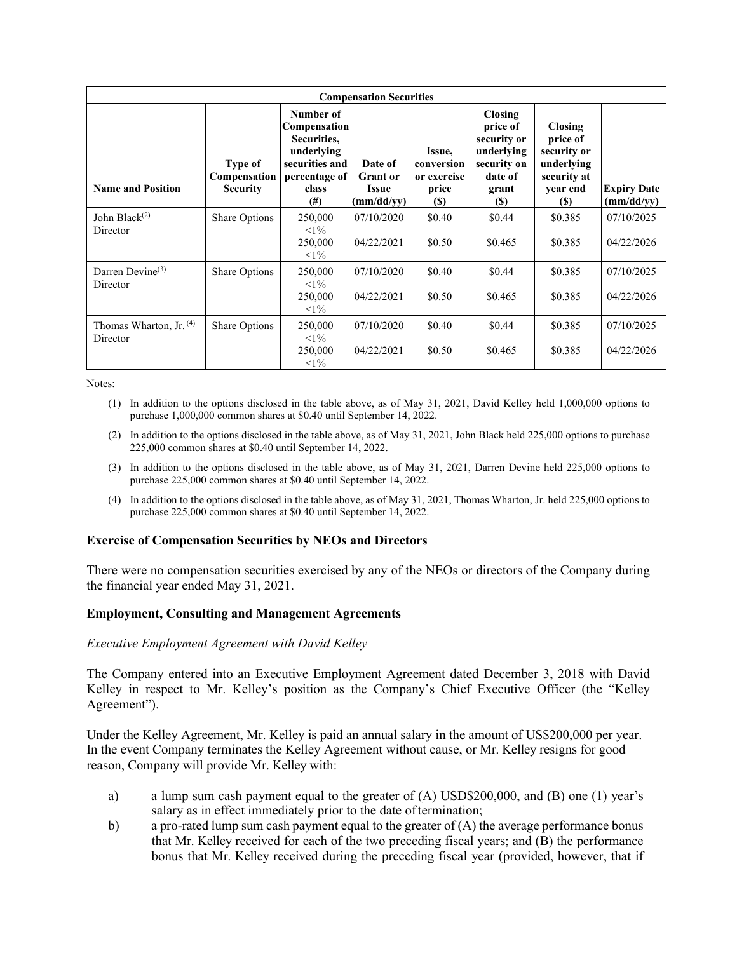| <b>Compensation Securities</b>        |                                                   |                                                                                                                       |                                                          |                                                             |                                                                                                   |                                                                                                   |                                  |
|---------------------------------------|---------------------------------------------------|-----------------------------------------------------------------------------------------------------------------------|----------------------------------------------------------|-------------------------------------------------------------|---------------------------------------------------------------------------------------------------|---------------------------------------------------------------------------------------------------|----------------------------------|
| <b>Name and Position</b>              | Type of<br><b>Compensation</b><br><b>Security</b> | Number of<br><b>Compensation</b><br>Securities,<br>underlying<br>securities and<br>percentage of<br>class<br>$^{(#)}$ | Date of<br><b>Grant</b> or<br><b>Issue</b><br>(mm/dd/yy) | Issue,<br>conversion<br>or exercise<br>price<br><b>(\$)</b> | <b>Closing</b><br>price of<br>security or<br>underlying<br>security on<br>date of<br>grant<br>(S) | <b>Closing</b><br>price of<br>security or<br>underlying<br>security at<br>year end<br><b>(\$)</b> | <b>Expiry Date</b><br>(mm/dd/yy) |
| John Black $(2)$<br>Director          | Share Options                                     | 250,000<br>$1\%$<br>250,000<br>$<1\%$                                                                                 | 07/10/2020<br>04/22/2021                                 | \$0.40<br>\$0.50                                            | \$0.44<br>\$0.465                                                                                 | \$0.385<br>\$0.385                                                                                | 07/10/2025<br>04/22/2026         |
| Darren Devine $(3)$<br>Director       | Share Options                                     | 250,000<br>$<1\%$<br>250,000<br>$<1\%$                                                                                | 07/10/2020<br>04/22/2021                                 | \$0.40<br>\$0.50                                            | \$0.44<br>\$0.465                                                                                 | \$0.385<br>\$0.385                                                                                | 07/10/2025<br>04/22/2026         |
| Thomas Wharton, Jr. $(4)$<br>Director | <b>Share Options</b>                              | 250,000<br>$1\%$<br>250,000<br>$1\%$                                                                                  | 07/10/2020<br>04/22/2021                                 | \$0.40<br>\$0.50                                            | \$0.44<br>\$0.465                                                                                 | \$0.385<br>\$0.385                                                                                | 07/10/2025<br>04/22/2026         |

#### Notes:

- (1) In addition to the options disclosed in the table above, as of May 31, 2021, David Kelley held 1,000,000 options to purchase 1,000,000 common shares at \$0.40 until September 14, 2022.
- (2) In addition to the options disclosed in the table above, as of May 31, 2021, John Black held 225,000 options to purchase 225,000 common shares at \$0.40 until September 14, 2022.
- (3) In addition to the options disclosed in the table above, as of May 31, 2021, Darren Devine held 225,000 options to purchase 225,000 common shares at \$0.40 until September 14, 2022.
- (4) In addition to the options disclosed in the table above, as of May 31, 2021, Thomas Wharton, Jr. held 225,000 options to purchase 225,000 common shares at \$0.40 until September 14, 2022.

### **Exercise of Compensation Securities by NEOs and Directors**

There were no compensation securities exercised by any of the NEOs or directors of the Company during the financial year ended May 31, 2021.

### **Employment, Consulting and Management Agreements**

### *Executive Employment Agreement with David Kelley*

The Company entered into an Executive Employment Agreement dated December 3, 2018 with David Kelley in respect to Mr. Kelley's position as the Company's Chief Executive Officer (the "Kelley Agreement").

Under the Kelley Agreement, Mr. Kelley is paid an annual salary in the amount of US\$200,000 per year. In the event Company terminates the Kelley Agreement without cause, or Mr. Kelley resigns for good reason, Company will provide Mr. Kelley with:

- a) a lump sum cash payment equal to the greater of (A) USD\$200,000, and (B) one (1) year's salary as in effect immediately prior to the date of termination;
- b) a pro-rated lump sum cash payment equal to the greater of  $(A)$  the average performance bonus that Mr. Kelley received for each of the two preceding fiscal years; and (B) the performance bonus that Mr. Kelley received during the preceding fiscal year (provided, however, that if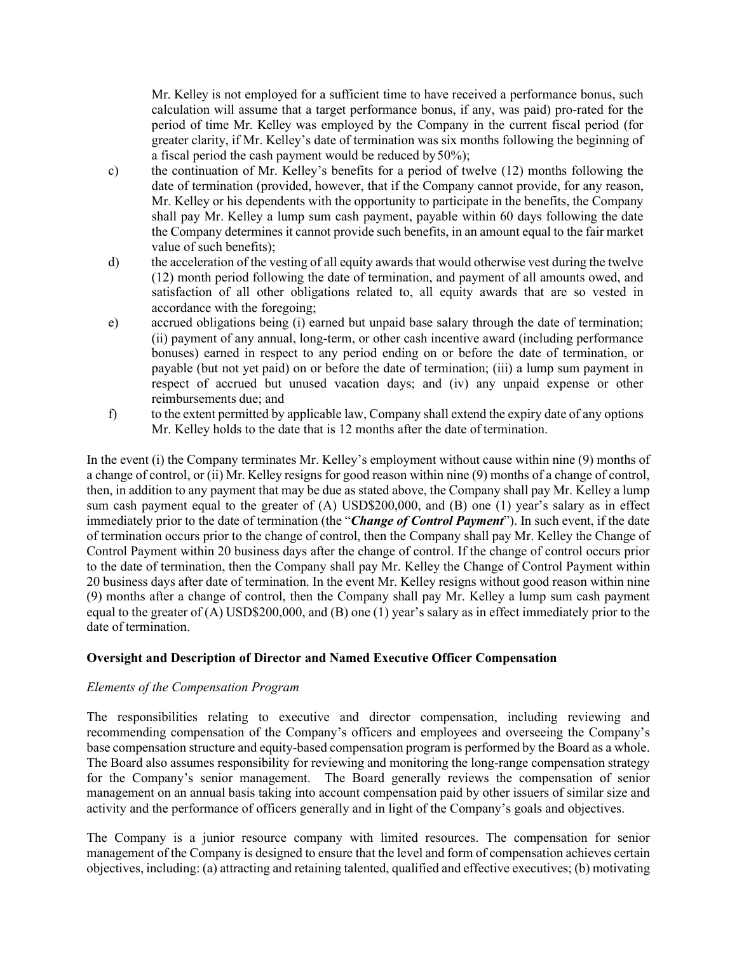Mr. Kelley is not employed for a sufficient time to have received a performance bonus, such calculation will assume that a target performance bonus, if any, was paid) pro-rated for the period of time Mr. Kelley was employed by the Company in the current fiscal period (for greater clarity, if Mr. Kelley's date of termination was six months following the beginning of a fiscal period the cash payment would be reduced by  $50\%$ ;

- c) the continuation of Mr. Kelley's benefits for a period of twelve (12) months following the date of termination (provided, however, that if the Company cannot provide, for any reason, Mr. Kelley or his dependents with the opportunity to participate in the benefits, the Company shall pay Mr. Kelley a lump sum cash payment, payable within 60 days following the date the Company determines it cannot provide such benefits, in an amount equal to the fair market value of such benefits);
- d) the acceleration of the vesting of all equity awards that would otherwise vest during the twelve (12) month period following the date of termination, and payment of all amounts owed, and satisfaction of all other obligations related to, all equity awards that are so vested in accordance with the foregoing;
- e) accrued obligations being (i) earned but unpaid base salary through the date of termination; (ii) payment of any annual, long-term, or other cash incentive award (including performance bonuses) earned in respect to any period ending on or before the date of termination, or payable (but not yet paid) on or before the date of termination; (iii) a lump sum payment in respect of accrued but unused vacation days; and (iv) any unpaid expense or other reimbursements due; and
- f) to the extent permitted by applicable law, Company shall extend the expiry date of any options Mr. Kelley holds to the date that is 12 months after the date of termination.

In the event (i) the Company terminates Mr. Kelley's employment without cause within nine (9) months of a change of control, or (ii) Mr. Kelley resigns for good reason within nine (9) months of a change of control, then, in addition to any payment that may be due as stated above, the Company shall pay Mr. Kelley a lump sum cash payment equal to the greater of (A) USD\$200,000, and (B) one (1) year's salary as in effect immediately prior to the date of termination (the "*Change of Control Payment*"). In such event, if the date of termination occurs prior to the change of control, then the Company shall pay Mr. Kelley the Change of Control Payment within 20 business days after the change of control. If the change of control occurs prior to the date of termination, then the Company shall pay Mr. Kelley the Change of Control Payment within 20 business days after date of termination. In the event Mr. Kelley resigns without good reason within nine (9) months after a change of control, then the Company shall pay Mr. Kelley a lump sum cash payment equal to the greater of (A) USD\$200,000, and (B) one (1) year's salary as in effect immediately prior to the date of termination.

## **Oversight and Description of Director and Named Executive Officer Compensation**

## *Elements of the Compensation Program*

The responsibilities relating to executive and director compensation, including reviewing and recommending compensation of the Company's officers and employees and overseeing the Company's base compensation structure and equity-based compensation program is performed by the Board as a whole. The Board also assumes responsibility for reviewing and monitoring the long-range compensation strategy for the Company's senior management. The Board generally reviews the compensation of senior management on an annual basis taking into account compensation paid by other issuers of similar size and activity and the performance of officers generally and in light of the Company's goals and objectives.

The Company is a junior resource company with limited resources. The compensation for senior management of the Company is designed to ensure that the level and form of compensation achieves certain objectives, including: (a) attracting and retaining talented, qualified and effective executives; (b) motivating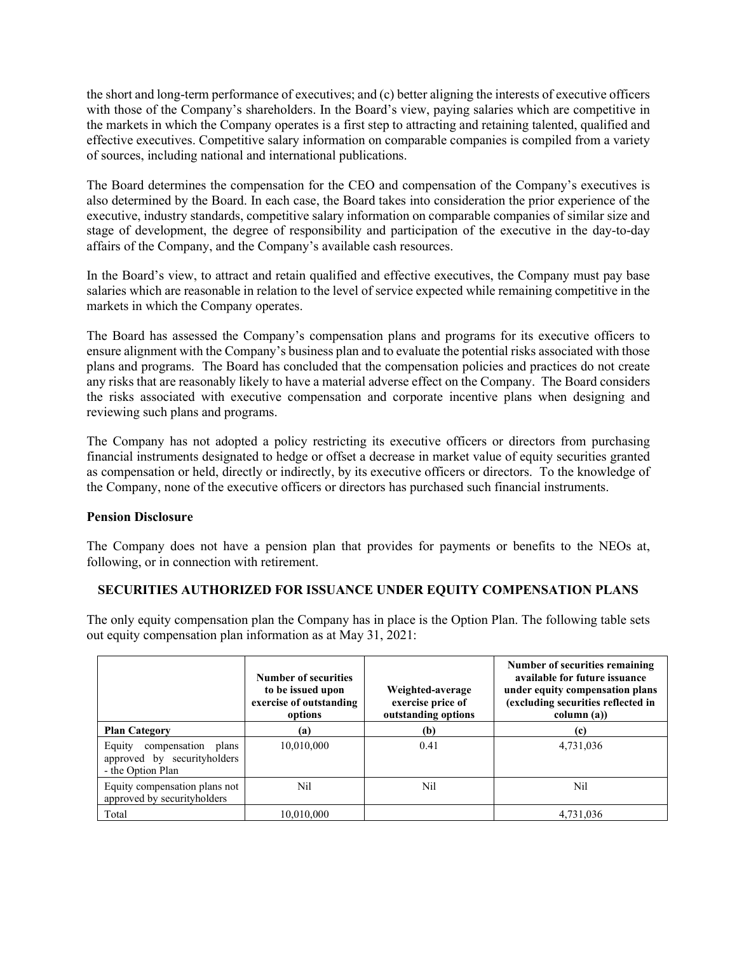the short and long-term performance of executives; and (c) better aligning the interests of executive officers with those of the Company's shareholders. In the Board's view, paying salaries which are competitive in the markets in which the Company operates is a first step to attracting and retaining talented, qualified and effective executives. Competitive salary information on comparable companies is compiled from a variety of sources, including national and international publications.

The Board determines the compensation for the CEO and compensation of the Company's executives is also determined by the Board. In each case, the Board takes into consideration the prior experience of the executive, industry standards, competitive salary information on comparable companies of similar size and stage of development, the degree of responsibility and participation of the executive in the day-to-day affairs of the Company, and the Company's available cash resources.

In the Board's view, to attract and retain qualified and effective executives, the Company must pay base salaries which are reasonable in relation to the level of service expected while remaining competitive in the markets in which the Company operates.

The Board has assessed the Company's compensation plans and programs for its executive officers to ensure alignment with the Company's business plan and to evaluate the potential risks associated with those plans and programs. The Board has concluded that the compensation policies and practices do not create any risks that are reasonably likely to have a material adverse effect on the Company. The Board considers the risks associated with executive compensation and corporate incentive plans when designing and reviewing such plans and programs.

The Company has not adopted a policy restricting its executive officers or directors from purchasing financial instruments designated to hedge or offset a decrease in market value of equity securities granted as compensation or held, directly or indirectly, by its executive officers or directors. To the knowledge of the Company, none of the executive officers or directors has purchased such financial instruments.

# **Pension Disclosure**

The Company does not have a pension plan that provides for payments or benefits to the NEOs at, following, or in connection with retirement.

# **SECURITIES AUTHORIZED FOR ISSUANCE UNDER EQUITY COMPENSATION PLANS**

The only equity compensation plan the Company has in place is the Option Plan. The following table sets out equity compensation plan information as at May 31, 2021:

|                                                                                  | <b>Number of securities</b><br>to be issued upon<br>exercise of outstanding<br>options | Weighted-average<br>exercise price of<br>outstanding options | Number of securities remaining<br>available for future issuance<br>under equity compensation plans<br>(excluding securities reflected in<br>column (a)) |
|----------------------------------------------------------------------------------|----------------------------------------------------------------------------------------|--------------------------------------------------------------|---------------------------------------------------------------------------------------------------------------------------------------------------------|
| <b>Plan Category</b>                                                             | (a)                                                                                    | (b)                                                          | (c)                                                                                                                                                     |
| compensation plans<br>Equity<br>approved by securityholders<br>- the Option Plan | 10,010,000                                                                             | 0.41                                                         | 4,731,036                                                                                                                                               |
| Equity compensation plans not<br>approved by securityholders                     | Nil                                                                                    | Nil                                                          | Nil                                                                                                                                                     |
| Total                                                                            | 10,010,000                                                                             |                                                              | 4,731,036                                                                                                                                               |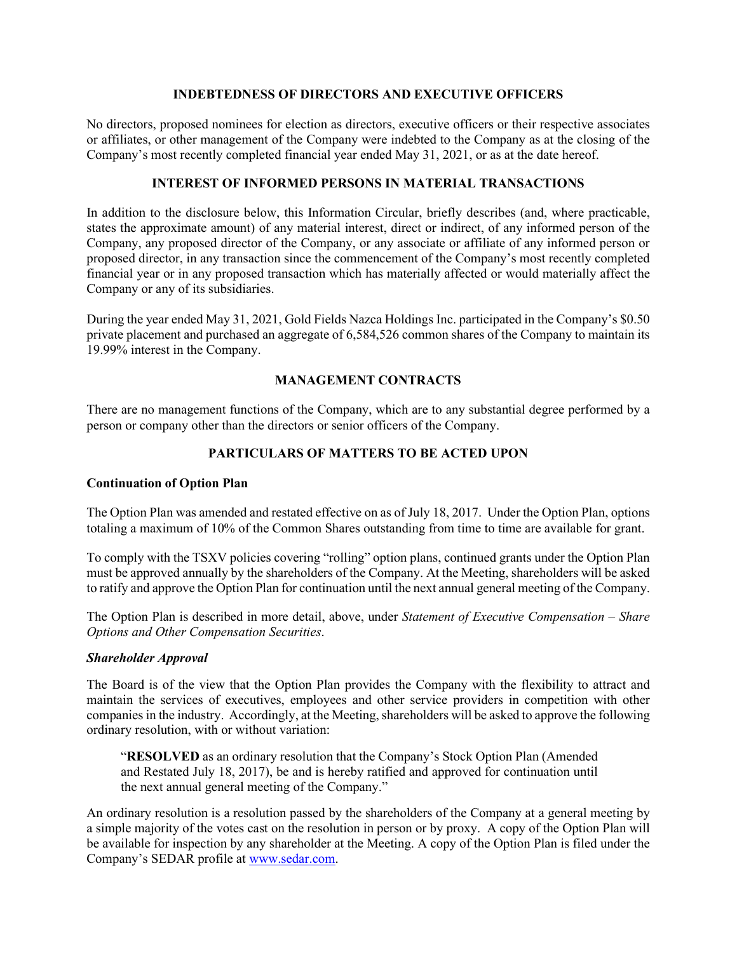### **INDEBTEDNESS OF DIRECTORS AND EXECUTIVE OFFICERS**

No directors, proposed nominees for election as directors, executive officers or their respective associates or affiliates, or other management of the Company were indebted to the Company as at the closing of the Company's most recently completed financial year ended May 31, 2021, or as at the date hereof.

## **INTEREST OF INFORMED PERSONS IN MATERIAL TRANSACTIONS**

In addition to the disclosure below, this Information Circular, briefly describes (and, where practicable, states the approximate amount) of any material interest, direct or indirect, of any informed person of the Company, any proposed director of the Company, or any associate or affiliate of any informed person or proposed director, in any transaction since the commencement of the Company's most recently completed financial year or in any proposed transaction which has materially affected or would materially affect the Company or any of its subsidiaries.

During the year ended May 31, 2021, Gold Fields Nazca Holdings Inc. participated in the Company's \$0.50 private placement and purchased an aggregate of 6,584,526 common shares of the Company to maintain its 19.99% interest in the Company.

# **MANAGEMENT CONTRACTS**

There are no management functions of the Company, which are to any substantial degree performed by a person or company other than the directors or senior officers of the Company.

# **PARTICULARS OF MATTERS TO BE ACTED UPON**

## **Continuation of Option Plan**

The Option Plan was amended and restated effective on as of July 18, 2017. Under the Option Plan, options totaling a maximum of 10% of the Common Shares outstanding from time to time are available for grant.

To comply with the TSXV policies covering "rolling" option plans, continued grants under the Option Plan must be approved annually by the shareholders of the Company. At the Meeting, shareholders will be asked to ratify and approve the Option Plan for continuation until the next annual general meeting of the Company.

The Option Plan is described in more detail, above, under *Statement of Executive Compensation – Share Options and Other Compensation Securities*.

## *Shareholder Approval*

The Board is of the view that the Option Plan provides the Company with the flexibility to attract and maintain the services of executives, employees and other service providers in competition with other companies in the industry. Accordingly, at the Meeting, shareholders will be asked to approve the following ordinary resolution, with or without variation:

"**RESOLVED** as an ordinary resolution that the Company's Stock Option Plan (Amended and Restated July 18, 2017), be and is hereby ratified and approved for continuation until the next annual general meeting of the Company."

An ordinary resolution is a resolution passed by the shareholders of the Company at a general meeting by a simple majority of the votes cast on the resolution in person or by proxy. A copy of the Option Plan will be available for inspection by any shareholder at the Meeting. A copy of the Option Plan is filed under the Company's SEDAR profile at [www.sedar.com.](http://www.sedar.com/)